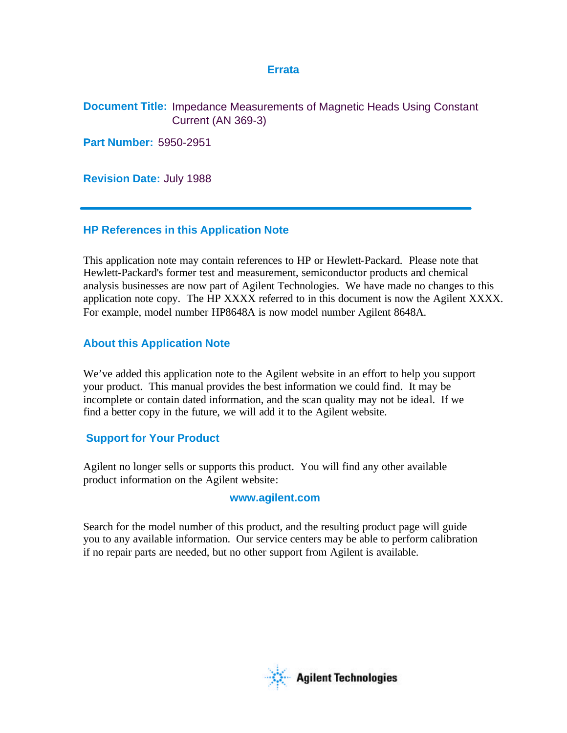# **Errata**

**Document Title:** Impedance Measurements of Magnetic Heads Using Constant Current (AN 369-3)

**Part Number:** 5950-2951

**Revision Date:** July 1988

# **HP References in this Application Note**

This application note may contain references to HP or Hewlett-Packard. Please note that Hewlett-Packard's former test and measurement, semiconductor products and chemical analysis businesses are now part of Agilent Technologies. We have made no changes to this application note copy. The HP XXXX referred to in this document is now the Agilent XXXX. For example, model number HP8648A is now model number Agilent 8648A.

# **About this Application Note**

We've added this application note to the Agilent website in an effort to help you support your product. This manual provides the best information we could find. It may be incomplete or contain dated information, and the scan quality may not be ideal. If we find a better copy in the future, we will add it to the Agilent website.

# **Support for Your Product**

Agilent no longer sells or supports this product. You will find any other available product information on the Agilent website:

# **www.agilent.com**

Search for the model number of this product, and the resulting product page will guide you to any available information. Our service centers may be able to perform calibration if no repair parts are needed, but no other support from Agilent is available.

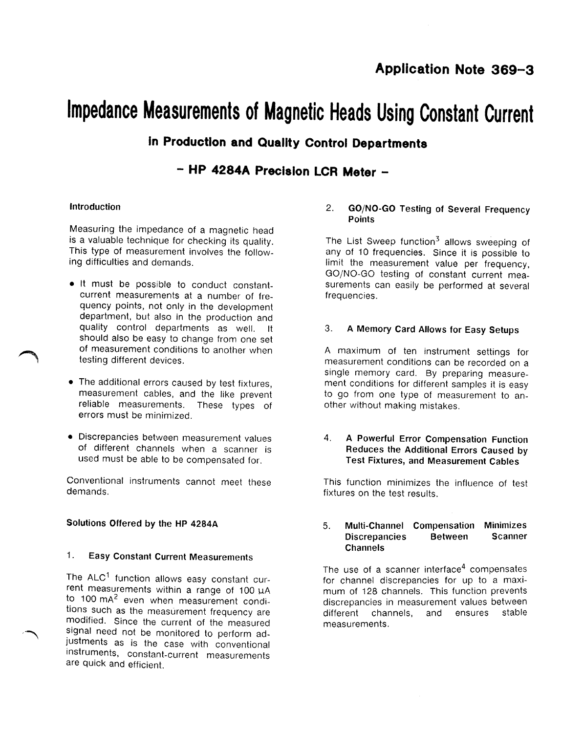# Impedance Measurements of Magnetic Heads Using Constant Current

# in Production and Quality Control Departments

- HP 4284A Precision LCR Meter -

# Introduction

Measuring the impedance of a magnetic head is a valuable technique for checking its quality. This type of measurement involves the following difficulties and demands.

- . It must be possible to conduct constantcurrent measurements at a number of frequency points, not only in the development department, but also in the production and quality control departments as well. -lt should also be easy to change from one set of measurement conditions to another when testing different devices.
- The additional errors caused by test fixtures, measurement cables, and the like prevent reliable measurements. These types of errors must be minimized.
- · Discrepancies between measurement values of different channels when a scanner is used must be able to be compensated for.

Conventional instruments cannot meet these demands.

# Solutions Offered by the HP 4284A

#### $\mathbf{1}$ . **Easy Constant Current Measurements**

The ALC<sup>1</sup> function allows easy constant current measurements within a range of 100 uA to 100 mA<sup>2</sup> even when measurement conditions such as the measurement frequency are modified. Since the current of the measured signal need not be monitored to perform adjustments as is the case with conventional instruments, constant-current measurements are quick and efficient.

#### **GO/NO-GO Testing of Several Frequency**  $2.$ **Points**

The List Sweep function<sup>3</sup> allows sweeping of any of 10 frequencies. Since it is possible to limit the measurement value per frequency. GO/NO-GO testing of constant current measurements can easily be performed at several frequencies.

#### A Memory Card Allows for Easy Setups 3.

A maximum of ten instrument settings for measurement conditions can be recorded on a single memory card. By preparing measurement conditions for different samples it is easy to go from one type of measurement to another without making mistakes.

#### 4. A Powerful Error Compensation Function Reduces the Additional Errors Caused by **Test Fixtures, and Measurement Cables**

This function minimizes the influence of test fixtures on the test results.

#### 5. **Multi-Channel Compensation Minimizes Discrepancies Between Scanner Channels**

The use of a scanner interface<sup>4</sup> compensates for channel discrepancies for up to a maximum of 128 channels. This function prevents discrepancies in measurement values between different channels, and ensures stable measurements.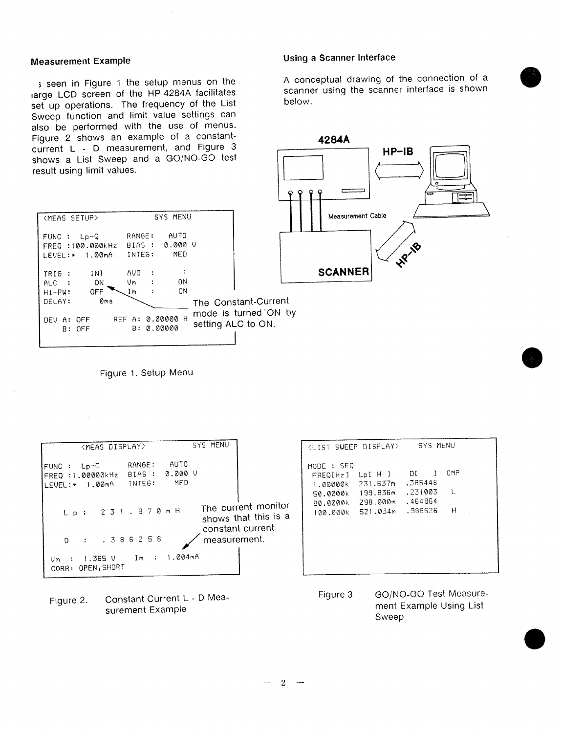## **Measurement Example**

(MEAS SETUP)

s seen in Figure 1 the setup menus on the large LCD screen of the HP 4284A facilitates set up operations. The frequency of the List Sweep function and limit value settings can also be performed with the use of menus. Figure 2 shows an example of a constantcurrent L - D measurement, and Figure 3 shows a List Sweep and a GO/NO-GO test result using limit values.

# Using a Scanner Interface

A conceptual drawing of the connection of a scanner using the scanner interface is shown below.



| $FUNC : Lp-Q$<br>FREQ : 100.000kHz<br>LEVEL:* 1.00mA INTEG:             | RANGE:<br>BIAS : 0.000 V                | AUTO<br>MED |                                            |
|-------------------------------------------------------------------------|-----------------------------------------|-------------|--------------------------------------------|
| INT<br>TRIG :<br>ON<br>$ALC$ :<br>OFF<br>$H_1 - P W$ :<br>0ms<br>DELAY: | <b>AVG</b><br>$\sim$<br>Vm :<br>Im<br>÷ | 0N<br>ON    | The Constant-Current                       |
| DEV A: OFF<br>$B:$ OFF                                                  | REF A: 0.00000 H<br>B: 0.00000          |             | mode is turned ON by<br>setting ALC to ON. |

SYS MENU

Figure 1. Setup Menu

| <meas display=""></meas>                                                                                                                      | SYS MENU                                                 | SYS MENU<br><list display="" sweep=""></list>                                                                                                                                                              |
|-----------------------------------------------------------------------------------------------------------------------------------------------|----------------------------------------------------------|------------------------------------------------------------------------------------------------------------------------------------------------------------------------------------------------------------|
| AUTO<br>RANGE:<br>FUNC : Lp-D<br>0.000V<br>BIAS :<br>FREQ : 1.00000kHz<br>MED<br>INTEG:<br>1.00mA<br>ILEVEL : *<br>231,970mH<br>$L \cdot p$ : | The current monitor                                      | MODE : SEQ<br>CMP<br>DL<br>Lp[ H ]<br>FREQ[Hz]<br>.385448<br>231.637m<br>1.00000k<br>$\perp$<br>.231003<br>199.836m<br>50.0000k<br>.464964<br>298.000m<br>80.0000k<br>н<br>.988626<br>521.034m<br>100.000k |
| 386256<br>D<br>$\mathcal{L}$<br>1.004mA<br>Im :<br>1.365 V<br>Um :<br>CORR: OPEN, SHORT                                                       | shows that this is a<br>constant current<br>measurement. |                                                                                                                                                                                                            |

Constant Current L - D Mea-Figure 2. surement Example

GO/NO-GO Test Measure-Figure 3 ment Example Using List Sweep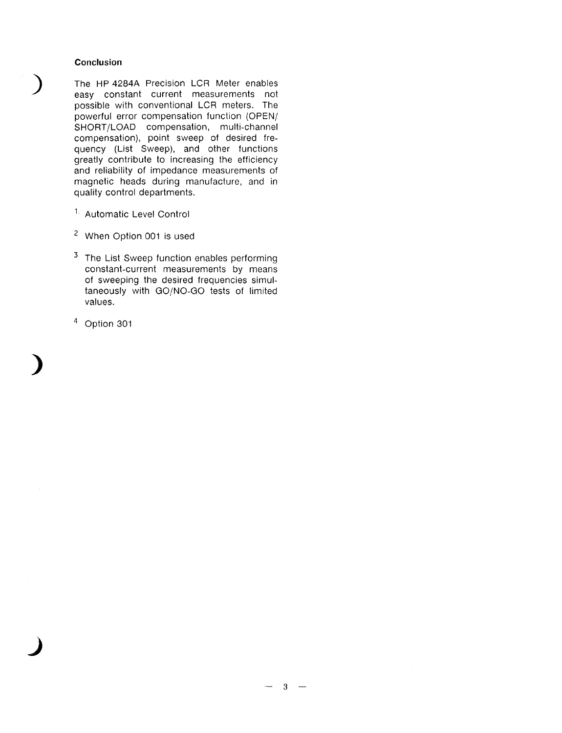### Conclusion

The HP 4284A Precision LCR Meter enables easy constant current measurements not possible with conventional LCR meters. The powerful error compensation function (OPEN/ SHORT/LOAD compensation, multi-channel<br>compensation), point sweep of desired frequency (List Sweep), and other functions greatly contribute to increasing the efficiency and reliability of impedance measurements of magnetic heads during manufacture, and in quality control departments.

- <sup>1.</sup> Automatic Level Control
- <sup>2</sup> When Option 001 is used
- <sup>3</sup> The List Sweep function enables performing constant-current measurements by means of sweeping the desired frequencies simultaneously with GO/NO-GO tests of limited values.
- $4$  Option 301